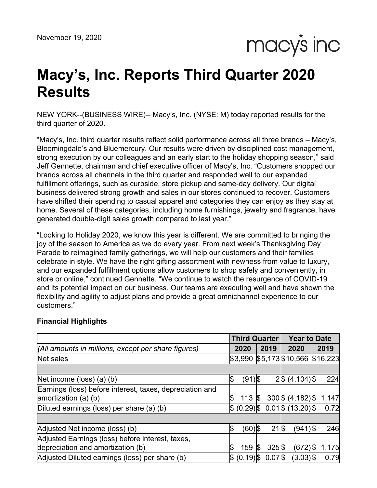macy's inc

# **Macy's, Inc. Reports Third Quarter 2020 Results**

NEW YORK--(BUSINESS WIRE)-- Macy's, Inc. (NYSE: M) today reported results for the third quarter of 2020.

"Macy's, Inc. third quarter results reflect solid performance across all three brands – Macy's, Bloomingdale's and Bluemercury. Our results were driven by disciplined cost management, strong execution by our colleagues and an early start to the holiday shopping season," said Jeff Gennette, chairman and chief executive officer of Macy's, Inc. "Customers shopped our brands across all channels in the third quarter and responded well to our expanded fulfillment offerings, such as curbside, store pickup and same-day delivery. Our digital business delivered strong growth and sales in our stores continued to recover. Customers have shifted their spending to casual apparel and categories they can enjoy as they stay at home. Several of these categories, including home furnishings, jewelry and fragrance, have generated double-digit sales growth compared to last year."

"Looking to Holiday 2020, we know this year is different. We are committed to bringing the joy of the season to America as we do every year. From next week's Thanksgiving Day Parade to reimagined family gatherings, we will help our customers and their families celebrate in style. We have the right gifting assortment with newness from value to luxury, and our expanded fulfillment options allow customers to shop safely and conveniently, in store or online," continued Gennette. "We continue to watch the resurgence of COVID-19 and its potential impact on our business. Our teams are executing well and have shown the flexibility and agility to adjust plans and provide a great omnichannel experience to our customers."

|                                                          |    | <b>Third Quarter</b> |           |                     | <b>Year to Date</b>                  |       |
|----------------------------------------------------------|----|----------------------|-----------|---------------------|--------------------------------------|-------|
| (All amounts in millions, except per share figures)      |    | 2020                 |           | 2019                | 2020                                 | 2019  |
| Net sales                                                |    | \$3,990              |           |                     | $$5,173$$ \$10,566 \$16,223          |       |
|                                                          |    |                      |           |                     |                                      |       |
| Net income (loss) (a) (b)                                | \$ | $(91)$ \$            |           |                     | $2\frac{5}{6}$ (4,104) $\frac{5}{6}$ | 224   |
| Earnings (loss) before interest, taxes, depreciation and |    |                      |           |                     |                                      |       |
| amortization $(a)$ (b)                                   | S  | 113                  | <b>\$</b> |                     | $300\frac{5}{9}$ (4,182) \$          | 1,147 |
| Diluted earnings (loss) per share (a) (b)                | S. |                      |           |                     | $(0.29)$ \$ 0.01\\$ (13.20)\\$       | 0.72  |
|                                                          |    |                      |           |                     |                                      |       |
| Adjusted Net income (loss) (b)                           | \$ | $(60)$ \$            |           | 21 \$               | (941)S                               | 246   |
| Adjusted Earnings (loss) before interest, taxes,         |    |                      |           |                     |                                      |       |
| depreciation and amortization (b)                        | ß  | 159                  | 15        | $325$ $\frac{5}{5}$ | (672) \$                             | 1,175 |
| Adjusted Diluted earnings (loss) per share (b)           | \$ | $(0.19)$ \$          |           | $0.07$ $$$          | $(3.03)$ \$                          | 0.79  |

# **Financial Highlights**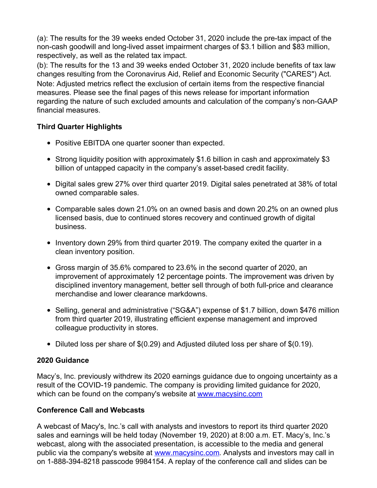(a): The results for the 39 weeks ended October 31, 2020 include the pre-tax impact of the non-cash goodwill and long-lived asset impairment charges of \$3.1 billion and \$83 million, respectively, as well as the related tax impact.

(b): The results for the 13 and 39 weeks ended October 31, 2020 include benefits of tax law changes resulting from the Coronavirus Aid, Relief and Economic Security ("CARES") Act. Note: Adjusted metrics reflect the exclusion of certain items from the respective financial measures. Please see the final pages of this news release for important information regarding the nature of such excluded amounts and calculation of the company's non-GAAP financial measures.

# **Third Quarter Highlights**

- Positive EBITDA one quarter sooner than expected.
- Strong liquidity position with approximately \$1.6 billion in cash and approximately \$3 billion of untapped capacity in the company's asset-based credit facility.
- Digital sales grew 27% over third quarter 2019. Digital sales penetrated at 38% of total owned comparable sales.
- Comparable sales down 21.0% on an owned basis and down 20.2% on an owned plus licensed basis, due to continued stores recovery and continued growth of digital business.
- Inventory down 29% from third quarter 2019. The company exited the quarter in a clean inventory position.
- Gross margin of 35.6% compared to 23.6% in the second quarter of 2020, an improvement of approximately 12 percentage points. The improvement was driven by disciplined inventory management, better sell through of both full-price and clearance merchandise and lower clearance markdowns.
- Selling, general and administrative ("SG&A") expense of \$1.7 billion, down \$476 million from third quarter 2019, illustrating efficient expense management and improved colleague productivity in stores.
- $\bullet$  Diluted loss per share of \$(0.29) and Adjusted diluted loss per share of \$(0.19).

# **2020 Guidance**

Macy's, Inc. previously withdrew its 2020 earnings guidance due to ongoing uncertainty as a result of the COVID-19 pandemic. The company is providing limited guidance for 2020, which can be found on the company's website at [www.macysinc.com](http://www.macysinc.com)

# **Conference Call and Webcasts**

A webcast of Macy's, Inc.'s call with analysts and investors to report its third quarter 2020 sales and earnings will be held today (November 19, 2020) at 8:00 a.m. ET. Macy's, Inc.'s webcast, along with the associated presentation, is accessible to the media and general public via the company's website at [www.macysinc.com](http://www.macysinc.com). Analysts and investors may call in on 1-888-394-8218 passcode 9984154. A replay of the conference call and slides can be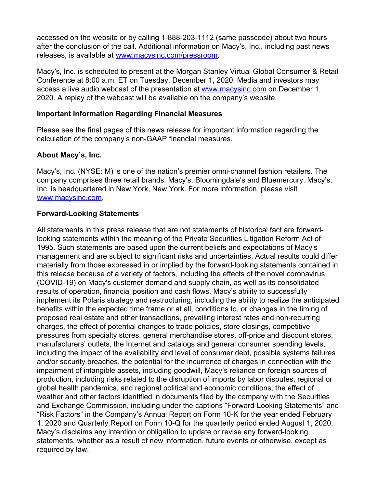accessed on the website or by calling 1-888-203-1112 (same passcode) about two hours after the conclusion of the call. Additional information on Macy's, Inc., including past news releases, is available at [www.macysinc.com/pressroom](http://www.macysinc.com/pressroom).

Macy's, Inc. is scheduled to present at the Morgan Stanley Virtual Global Consumer & Retail Conference at 8:00 a.m. ET on Tuesday, December 1, 2020. Media and investors may access a live audio webcast of the presentation at [www.macysinc.com](http://www.macysinc.com) on December 1, 2020. A replay of the webcast will be available on the company's website.

## **Important Information Regarding Financial Measures**

Please see the final pages of this news release for important information regarding the calculation of the company's non-GAAP financial measures.

# **About Macy's, Inc.**

Macy's, Inc. (NYSE: M) is one of the nation's premier omni-channel fashion retailers. The company comprises three retail brands, Macy's, Bloomingdale's and Bluemercury. Macy's, Inc. is headquartered in New York, New York. For more information, please visit [www.macysinc.com](http://www.macysinc.com).

## **Forward-Looking Statements**

All statements in this press release that are not statements of historical fact are forwardlooking statements within the meaning of the Private Securities Litigation Reform Act of 1995. Such statements are based upon the current beliefs and expectations of Macy's management and are subject to significant risks and uncertainties. Actual results could differ materially from those expressed in or implied by the forward-looking statements contained in this release because of a variety of factors, including the effects of the novel coronavirus (COVID-19) on Macy's customer demand and supply chain, as well as its consolidated results of operation, financial position and cash flows, Macy's ability to successfully implement its Polaris strategy and restructuring, including the ability to realize the anticipated benefits within the expected time frame or at all, conditions to, or changes in the timing of proposed real estate and other transactions, prevailing interest rates and non-recurring charges, the effect of potential changes to trade policies, store closings, competitive pressures from specialty stores, general merchandise stores, off-price and discount stores, manufacturers' outlets, the Internet and catalogs and general consumer spending levels, including the impact of the availability and level of consumer debt, possible systems failures and/or security breaches, the potential for the incurrence of charges in connection with the impairment of intangible assets, including goodwill, Macy's reliance on foreign sources of production, including risks related to the disruption of imports by labor disputes, regional or global health pandemics, and regional political and economic conditions, the effect of weather and other factors identified in documents filed by the company with the Securities and Exchange Commission, including under the captions "Forward-Looking Statements" and "Risk Factors" in the Company's Annual Report on Form 10-K for the year ended February 1, 2020 and Quarterly Report on Form 10-Q for the quarterly period ended August 1, 2020. Macy's disclaims any intention or obligation to update or revise any forward-looking statements, whether as a result of new information, future events or otherwise, except as required by law.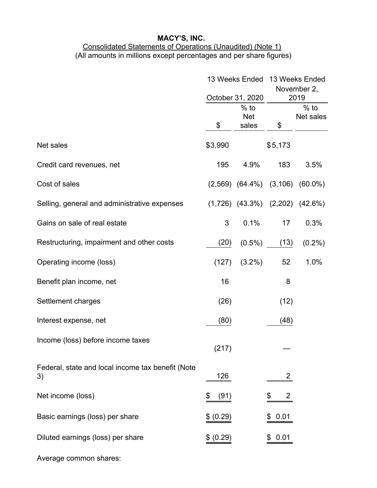# Consolidated Statements of Operations (Unaudited) (Note 1) (All amounts in millions except percentages and per share figures)

|                                                         |            | 13 Weeks Ended                                    | 13 Weeks Ended<br>November 2, |                                           |  |  |
|---------------------------------------------------------|------------|---------------------------------------------------|-------------------------------|-------------------------------------------|--|--|
|                                                         | \$         | October 31, 2020<br>$%$ to<br><b>Net</b><br>sales | \$                            | 2019<br>$%$ to<br>Net sales               |  |  |
| Net sales                                               | \$3,990    |                                                   | \$5,173                       |                                           |  |  |
| Credit card revenues, net                               | 195        | 4.9%                                              | 183                           | 3.5%                                      |  |  |
| Cost of sales                                           |            |                                                   |                               | $(2,569)$ $(64.4\%)$ $(3,106)$ $(60.0\%)$ |  |  |
| Selling, general and administrative expenses            |            | $(1,726)$ $(43.3\%)$                              |                               | $(2,202)$ $(42.6\%)$                      |  |  |
| Gains on sale of real estate                            | 3          | 0.1%                                              | 17                            | 0.3%                                      |  |  |
| Restructuring, impairment and other costs               | (20)       | $(0.5\%)$                                         | (13)                          | $(0.2\%)$                                 |  |  |
| Operating income (loss)                                 | (127)      | $(3.2\%)$                                         | 52                            | 1.0%                                      |  |  |
| Benefit plan income, net                                | 16         |                                                   | 8                             |                                           |  |  |
| Settlement charges                                      | (26)       |                                                   | (12)                          |                                           |  |  |
| Interest expense, net                                   | (80)       |                                                   | (48)                          |                                           |  |  |
| Income (loss) before income taxes                       | (217)      |                                                   |                               |                                           |  |  |
| Federal, state and local income tax benefit (Note<br>3) | 126        |                                                   | 2                             |                                           |  |  |
| Net income (loss)                                       | \$<br>(91) |                                                   | 2                             |                                           |  |  |
| Basic earnings (loss) per share                         | (0.29)     |                                                   | 0.01                          |                                           |  |  |
| Diluted earnings (loss) per share                       | (0.29)     |                                                   | 0.01                          |                                           |  |  |

Average common shares: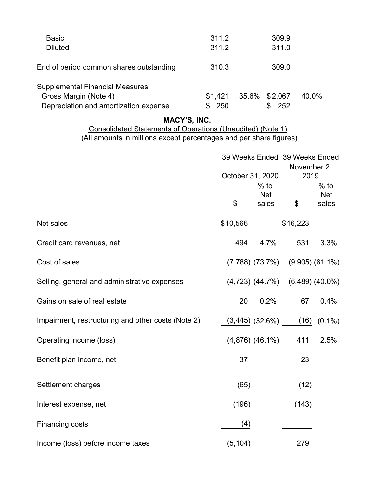| <b>Basic</b>                            | 311.2    | 309.9         |       |
|-----------------------------------------|----------|---------------|-------|
| <b>Diluted</b>                          | 311.2    | 311.0         |       |
| End of period common shares outstanding | 310.3    | 309.0         |       |
| <b>Supplemental Financial Measures:</b> |          |               |       |
| Gross Margin (Note 4)                   | \$1,421  | 35.6% \$2,067 | 40.0% |
| Depreciation and amortization expense   | 250<br>S | 252           |       |

## Consolidated Statements of Operations (Unaudited) (Note 1) (All amounts in millions except percentages and per share figures)

|                                                    |                  |                               | 39 Weeks Ended 39 Weeks Ended<br>November 2, |                               |  |  |
|----------------------------------------------------|------------------|-------------------------------|----------------------------------------------|-------------------------------|--|--|
|                                                    | October 31, 2020 |                               | 2019                                         |                               |  |  |
|                                                    | \$               | $%$ to<br><b>Net</b><br>sales | \$                                           | $%$ to<br><b>Net</b><br>sales |  |  |
| Net sales                                          | \$10,566         |                               | \$16,223                                     |                               |  |  |
| Credit card revenues, net                          | 494              | 4.7%                          | 531                                          | 3.3%                          |  |  |
| Cost of sales                                      |                  | $(7,788)$ $(73.7\%)$          |                                              | $(9,905)$ $(61.1\%)$          |  |  |
| Selling, general and administrative expenses       |                  | $(4,723)$ $(44.7\%)$          |                                              | $(6,489)$ $(40.0\%)$          |  |  |
| Gains on sale of real estate                       | 20               | 0.2%                          | 67                                           | 0.4%                          |  |  |
| Impairment, restructuring and other costs (Note 2) |                  | $(3,445)$ $(32.6\%)$          | (16)                                         | $(0.1\%)$                     |  |  |
| Operating income (loss)                            |                  | $(4,876)$ $(46.1\%)$          | 411                                          | 2.5%                          |  |  |
| Benefit plan income, net                           | 37               |                               | 23                                           |                               |  |  |
| Settlement charges                                 | (65)             |                               | (12)                                         |                               |  |  |
| Interest expense, net                              | (196)            |                               | (143)                                        |                               |  |  |
| Financing costs                                    | (4)              |                               |                                              |                               |  |  |
| Income (loss) before income taxes                  | (5, 104)         |                               | 279                                          |                               |  |  |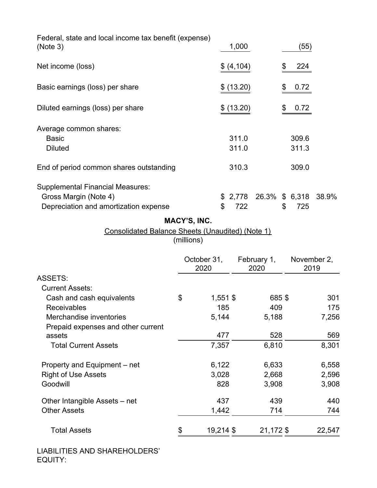| Federal, state and local income tax benefit (expense)<br>(Note 3)                                         |                            |          | 1,000          |                     | (55)                              |       |
|-----------------------------------------------------------------------------------------------------------|----------------------------|----------|----------------|---------------------|-----------------------------------|-------|
| Net income (loss)                                                                                         |                            |          | \$ (4, 104)    |                     | \$<br>224                         |       |
| Basic earnings (loss) per share                                                                           |                            | \$       | (13.20)        |                     | \$<br>0.72                        |       |
| Diluted earnings (loss) per share                                                                         |                            |          | \$ (13.20)     |                     | \$<br>0.72                        |       |
| Average common shares:<br><b>Basic</b><br><b>Diluted</b>                                                  |                            |          | 311.0<br>311.0 |                     | 309.6<br>311.3                    |       |
| End of period common shares outstanding                                                                   |                            |          | 310.3          |                     | 309.0                             |       |
| <b>Supplemental Financial Measures:</b><br>Gross Margin (Note 4)<br>Depreciation and amortization expense |                            | \$<br>\$ | 2,778<br>722   |                     | \$<br>26.3% \$ 6,318 38.9%<br>725 |       |
| <b>Consolidated Balance Sheets (Unaudited) (Note 1)</b>                                                   | MACY'S, INC.<br>(millions) |          |                |                     |                                   |       |
|                                                                                                           | October 31,<br>2020        |          |                | February 1,<br>2020 | November 2,<br>2019               |       |
| <b>ASSETS:</b>                                                                                            |                            |          |                |                     |                                   |       |
| <b>Current Assets:</b>                                                                                    |                            |          |                |                     |                                   |       |
| Cash and cash equivalents                                                                                 | \$                         | 1,551 \$ |                | 685\$               |                                   | 301   |
| Receivables                                                                                               |                            | 185      |                | 409                 |                                   | 175   |
| Merchandise inventories                                                                                   |                            | 5,144    |                | 5,188               |                                   | 7,256 |
| Prepaid expenses and other current                                                                        |                            |          |                |                     |                                   |       |
| assets                                                                                                    |                            | 477      |                | 528                 |                                   | 569   |
| <b>Total Current Assets</b>                                                                               |                            | 7,357    |                | 6,810               |                                   | 8,301 |
| Property and Equipment – net                                                                              |                            | 6,122    |                | 6,633               |                                   | 6,558 |
| <b>Right of Use Assets</b>                                                                                |                            | 3,028    |                | 2,668               |                                   | 2,596 |
| Goodwill                                                                                                  |                            | 828      |                | 3,908               |                                   | 3,908 |
| Other Intangible Assets – net                                                                             |                            | 437      |                | 439                 |                                   | 440   |

Other Assets **1,442** 714 744

Total Assets  $\frac{\$}{21,172}\frac{\$}{22,547}$ 

LIABILITIES AND SHAREHOLDERS' EQUITY: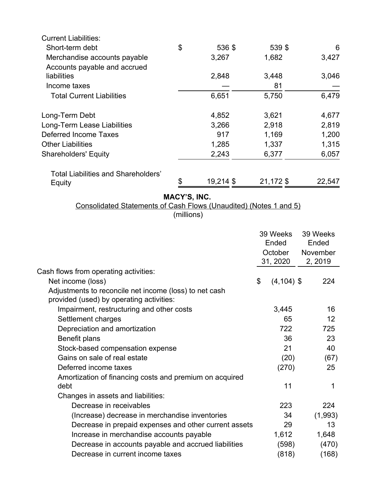| <b>Current Liabilities:</b>         |                 |           |        |
|-------------------------------------|-----------------|-----------|--------|
| Short-term debt                     | \$<br>536 \$    | 539 \$    | 6      |
| Merchandise accounts payable        | 3,267           | 1,682     | 3,427  |
| Accounts payable and accrued        |                 |           |        |
| liabilities                         | 2,848           | 3,448     | 3,046  |
| Income taxes                        |                 | 81        |        |
| <b>Total Current Liabilities</b>    | 6,651           | 5,750     | 6,479  |
| Long-Term Debt                      | 4,852           | 3,621     | 4,677  |
| Long-Term Lease Liabilities         | 3,266           | 2,918     | 2,819  |
| Deferred Income Taxes               | 917             | 1,169     | 1,200  |
| <b>Other Liabilities</b>            | 1,285           | 1,337     | 1,315  |
| <b>Shareholders' Equity</b>         | 2,243           | 6,377     | 6,057  |
| Total Liabilities and Shareholders' |                 |           |        |
| Equity                              | \$<br>19,214 \$ | 21,172 \$ | 22,547 |

# Consolidated Statements of Cash Flows (Unaudited) (Notes 1 and 5)

(millions)

|                                                                                                    | 39 Weeks            | 39 Weeks |
|----------------------------------------------------------------------------------------------------|---------------------|----------|
|                                                                                                    | Ended               | Ended    |
|                                                                                                    | October             | November |
|                                                                                                    | 31, 2020            | 2, 2019  |
| Cash flows from operating activities:                                                              |                     |          |
| Net income (loss)                                                                                  | \$<br>$(4, 104)$ \$ | 224      |
| Adjustments to reconcile net income (loss) to net cash<br>provided (used) by operating activities: |                     |          |
| Impairment, restructuring and other costs                                                          | 3,445               | 16       |
| Settlement charges                                                                                 | 65                  | 12       |
| Depreciation and amortization                                                                      | 722                 | 725      |
| Benefit plans                                                                                      | 36                  | 23       |
| Stock-based compensation expense                                                                   | 21                  | 40       |
| Gains on sale of real estate                                                                       | (20)                | (67)     |
| Deferred income taxes                                                                              | (270)               | 25       |
| Amortization of financing costs and premium on acquired                                            |                     |          |
| debt                                                                                               | 11                  | 1        |
| Changes in assets and liabilities:                                                                 |                     |          |
| Decrease in receivables                                                                            | 223                 | 224      |
| (Increase) decrease in merchandise inventories                                                     | 34                  | (1,993)  |
| Decrease in prepaid expenses and other current assets                                              | 29                  | 13       |
| Increase in merchandise accounts payable                                                           | 1,612               | 1,648    |
| Decrease in accounts payable and accrued liabilities                                               | (598)               | (470)    |
| Decrease in current income taxes                                                                   | (818)               | (168)    |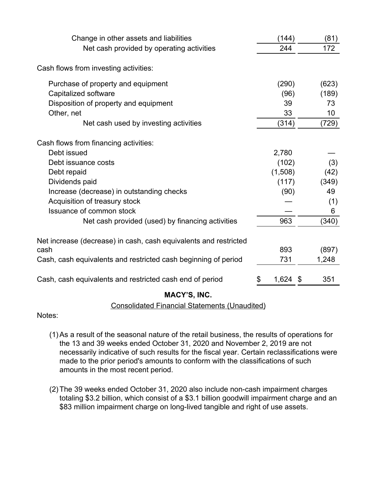| Change in other assets and liabilities                           | (144)       | (81)  |
|------------------------------------------------------------------|-------------|-------|
| Net cash provided by operating activities                        | 244         | 172   |
| Cash flows from investing activities:                            |             |       |
| Purchase of property and equipment                               | (290)       | (623) |
| Capitalized software                                             | (96)        | (189) |
| Disposition of property and equipment                            | 39          | 73    |
| Other, net                                                       | 33          | 10    |
| Net cash used by investing activities                            | (314)       | (729) |
| Cash flows from financing activities:                            |             |       |
| Debt issued                                                      | 2,780       |       |
| Debt issuance costs                                              | (102)       | (3)   |
| Debt repaid                                                      | (1,508)     | (42)  |
| Dividends paid                                                   | (117)       | (349) |
| Increase (decrease) in outstanding checks                        | (90)        | 49    |
| Acquisition of treasury stock                                    |             | (1)   |
| Issuance of common stock                                         |             | 6     |
| Net cash provided (used) by financing activities                 | 963         | (340) |
| Net increase (decrease) in cash, cash equivalents and restricted |             |       |
| cash                                                             | 893         | (897) |
| Cash, cash equivalents and restricted cash beginning of period   | 731         | 1,248 |
| Cash, cash equivalents and restricted cash end of period         | 1,624<br>\$ | 351   |

## Consolidated Financial Statements (Unaudited)

Notes:

- (1)As a result of the seasonal nature of the retail business, the results of operations for the 13 and 39 weeks ended October 31, 2020 and November 2, 2019 are not necessarily indicative of such results for the fiscal year. Certain reclassifications were made to the prior period's amounts to conform with the classifications of such amounts in the most recent period.
- (2) The 39 weeks ended October 31, 2020 also include non-cash impairment charges totaling \$3.2 billion, which consist of a \$3.1 billion goodwill impairment charge and an \$83 million impairment charge on long-lived tangible and right of use assets.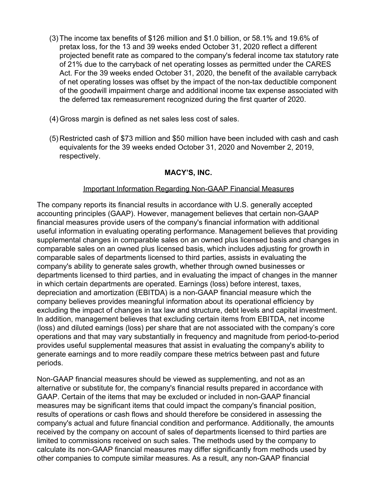- (3) The income tax benefits of \$126 million and \$1.0 billion, or 58.1% and 19.6% of pretax loss, for the 13 and 39 weeks ended October 31, 2020 reflect a different projected benefit rate as compared to the company's federal income tax statutory rate of 21% due to the carryback of net operating losses as permitted under the CARES Act. For the 39 weeks ended October 31, 2020, the benefit of the available carryback of net operating losses was offset by the impact of the non-tax deductible component of the goodwill impairment charge and additional income tax expense associated with the deferred tax remeasurement recognized during the first quarter of 2020.
- (4) Gross margin is defined as net sales less cost of sales.
- (5) Restricted cash of \$73 million and \$50 million have been included with cash and cash equivalents for the 39 weeks ended October 31, 2020 and November 2, 2019, respectively.

## Important Information Regarding Non-GAAP Financial Measures

The company reports its financial results in accordance with U.S. generally accepted accounting principles (GAAP). However, management believes that certain non-GAAP financial measures provide users of the company's financial information with additional useful information in evaluating operating performance. Management believes that providing supplemental changes in comparable sales on an owned plus licensed basis and changes in comparable sales on an owned plus licensed basis, which includes adjusting for growth in comparable sales of departments licensed to third parties, assists in evaluating the company's ability to generate sales growth, whether through owned businesses or departments licensed to third parties, and in evaluating the impact of changes in the manner in which certain departments are operated. Earnings (loss) before interest, taxes, depreciation and amortization (EBITDA) is a non-GAAP financial measure which the company believes provides meaningful information about its operational efficiency by excluding the impact of changes in tax law and structure, debt levels and capital investment. In addition, management believes that excluding certain items from EBITDA, net income (loss) and diluted earnings (loss) per share that are not associated with the company's core operations and that may vary substantially in frequency and magnitude from period-to-period provides useful supplemental measures that assist in evaluating the company's ability to generate earnings and to more readily compare these metrics between past and future periods.

Non-GAAP financial measures should be viewed as supplementing, and not as an alternative or substitute for, the company's financial results prepared in accordance with GAAP. Certain of the items that may be excluded or included in non-GAAP financial measures may be significant items that could impact the company's financial position, results of operations or cash flows and should therefore be considered in assessing the company's actual and future financial condition and performance. Additionally, the amounts received by the company on account of sales of departments licensed to third parties are limited to commissions received on such sales. The methods used by the company to calculate its non-GAAP financial measures may differ significantly from methods used by other companies to compute similar measures. As a result, any non-GAAP financial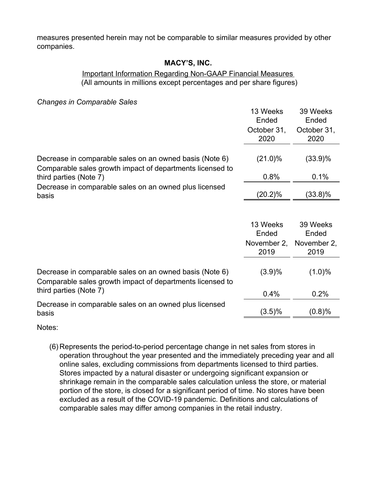measures presented herein may not be comparable to similar measures provided by other companies.

## **MACY'S, INC.**

## Important Information Regarding Non-GAAP Financial Measures (All amounts in millions except percentages and per share figures)

*Changes in Comparable Sales*

|                                                                                                                      | 13 Weeks<br>Ended   | 39 Weeks<br>Ended   |
|----------------------------------------------------------------------------------------------------------------------|---------------------|---------------------|
|                                                                                                                      | October 31,<br>2020 | October 31,<br>2020 |
| Decrease in comparable sales on an owned basis (Note 6)<br>Comparable sales growth impact of departments licensed to | $(21.0)\%$          | $(33.9)\%$          |
| third parties (Note 7)                                                                                               | 0.8%                | 0.1%                |
| Decrease in comparable sales on an owned plus licensed<br>basis                                                      | (20.2)%             | $(33.8)\%$          |
|                                                                                                                      |                     |                     |
|                                                                                                                      | 13 Weeks<br>Ended   | 39 Weeks<br>Ended   |
|                                                                                                                      | November 2,<br>2019 | November 2,<br>2019 |
| Decrease in comparable sales on an owned basis (Note 6)<br>Comparable sales growth impact of departments licensed to | (3.9)%              | (1.0)%              |
| third parties (Note 7)                                                                                               | 0.4%                | 0.2%                |
| Decrease in comparable sales on an owned plus licensed<br>basis                                                      | $(3.5)\%$           | (0.8)%              |

Notes:

(6) Represents the period-to-period percentage change in net sales from stores in operation throughout the year presented and the immediately preceding year and all online sales, excluding commissions from departments licensed to third parties. Stores impacted by a natural disaster or undergoing significant expansion or shrinkage remain in the comparable sales calculation unless the store, or material portion of the store, is closed for a significant period of time. No stores have been excluded as a result of the COVID-19 pandemic. Definitions and calculations of comparable sales may differ among companies in the retail industry.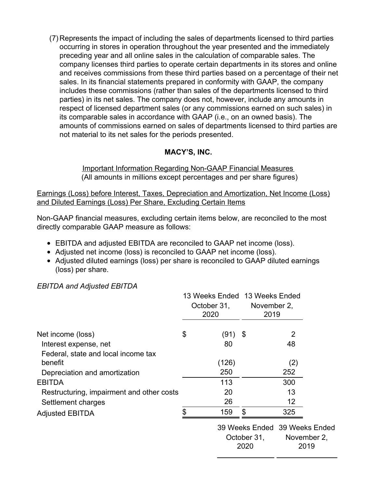(7) Represents the impact of including the sales of departments licensed to third parties occurring in stores in operation throughout the year presented and the immediately preceding year and all online sales in the calculation of comparable sales. The company licenses third parties to operate certain departments in its stores and online and receives commissions from these third parties based on a percentage of their net sales. In its financial statements prepared in conformity with GAAP, the company includes these commissions (rather than sales of the departments licensed to third parties) in its net sales. The company does not, however, include any amounts in respect of licensed department sales (or any commissions earned on such sales) in its comparable sales in accordance with GAAP (i.e., on an owned basis). The amounts of commissions earned on sales of departments licensed to third parties are not material to its net sales for the periods presented.

# **MACY'S, INC.**

Important Information Regarding Non-GAAP Financial Measures (All amounts in millions except percentages and per share figures)

Earnings (Loss) before Interest, Taxes, Depreciation and Amortization, Net Income (Loss) and Diluted Earnings (Loss) Per Share, Excluding Certain Items

Non-GAAP financial measures, excluding certain items below, are reconciled to the most directly comparable GAAP measure as follows:

- EBITDA and adjusted EBITDA are reconciled to GAAP net income (loss).
- Adjusted net income (loss) is reconciled to GAAP net income (loss).
- Adjusted diluted earnings (loss) per share is reconciled to GAAP diluted earnings (loss) per share.

*EBITDA and Adjusted EBITDA*

|                                           | October 31,<br>2020 | 13 Weeks Ended 13 Weeks Ended<br>November 2,<br>2019 |
|-------------------------------------------|---------------------|------------------------------------------------------|
| Net income (loss)                         | \$<br>(91)          | \$<br>2                                              |
| Interest expense, net                     | 80                  | 48                                                   |
| Federal, state and local income tax       |                     |                                                      |
| benefit                                   | (126)               | (2)                                                  |
| Depreciation and amortization             | 250                 | 252                                                  |
| <b>EBITDA</b>                             | 113                 | 300                                                  |
| Restructuring, impairment and other costs | 20                  | 13                                                   |
| Settlement charges                        | 26                  | 12                                                   |
| <b>Adjusted EBITDA</b>                    | \$<br>159           | \$<br>325                                            |

39 Weeks Ended 39 Weeks Ended October 31, 2020 November 2, 2019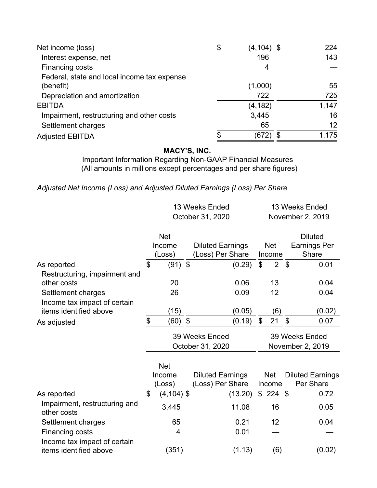| Net income (loss)                           | \$<br>$(4, 104)$ \$ | 224   |
|---------------------------------------------|---------------------|-------|
| Interest expense, net                       | 196                 | 143   |
| Financing costs                             | 4                   |       |
| Federal, state and local income tax expense |                     |       |
| (benefit)                                   | (1,000)             | 55    |
| Depreciation and amortization               | 722                 | 725   |
| <b>EBITDA</b>                               | (4, 182)            | 1,147 |
| Impairment, restructuring and other costs   | 3,445               | 16    |
| Settlement charges                          | 65                  | 12    |
| <b>Adjusted EBITDA</b>                      | (672)               | 1,175 |

Important Information Regarding Non-GAAP Financial Measures (All amounts in millions except percentages and per share figures)

*Adjusted Net Income (Loss) and Adjusted Diluted Earnings (Loss) Per Share*

|                                                                                                    | 13 Weeks Ended                     |                                | 13 Weeks Ended             |                                             |    |                      |                |                                                |
|----------------------------------------------------------------------------------------------------|------------------------------------|--------------------------------|----------------------------|---------------------------------------------|----|----------------------|----------------|------------------------------------------------|
|                                                                                                    |                                    |                                |                            | October 31, 2020                            |    |                      |                | November 2, 2019                               |
|                                                                                                    |                                    | <b>Net</b><br>Income<br>(Loss) |                            | <b>Diluted Earnings</b><br>(Loss) Per Share |    | <b>Net</b><br>Income |                | <b>Diluted</b><br><b>Earnings Per</b><br>Share |
| As reported                                                                                        | \$                                 | $(91)$ \$                      |                            | (0.29)                                      | \$ | 2 <sup>1</sup>       | - \$           | 0.01                                           |
| Restructuring, impairment and<br>other costs<br>Settlement charges<br>Income tax impact of certain |                                    | 20<br>26                       |                            | 0.06<br>0.09                                |    | 13<br>12             |                | 0.04<br>0.04                                   |
| items identified above                                                                             |                                    | (15)                           |                            | (0.05)                                      |    | (6)                  |                | (0.02)                                         |
| As adjusted                                                                                        | \$                                 | (60)                           | $\boldsymbol{\mathsf{\$}}$ | (0.19)                                      | \$ | 21                   | $\mathfrak{S}$ | 0.07                                           |
|                                                                                                    | 39 Weeks Ended<br>October 31, 2020 |                                |                            |                                             |    |                      |                |                                                |
|                                                                                                    |                                    |                                |                            |                                             |    |                      |                | 39 Weeks Ended<br>November 2, 2019             |
|                                                                                                    |                                    | <b>Net</b><br>Income<br>(Loss) |                            | <b>Diluted Earnings</b><br>(Loss) Per Share |    | <b>Net</b><br>Income |                | <b>Diluted Earnings</b><br>Per Share           |
| As reported                                                                                        | \$                                 | $(4, 104)$ \$                  |                            | (13.20)                                     | \$ | $224$ \$             |                | 0.72                                           |
| Impairment, restructuring and<br>other costs                                                       |                                    | 3,445                          |                            | 11.08                                       |    | 16                   |                | 0.05                                           |
| Settlement charges                                                                                 |                                    | 65                             |                            | 0.21                                        |    | 12                   |                | 0.04                                           |
| Financing costs                                                                                    |                                    | 4                              |                            | 0.01                                        |    |                      |                |                                                |